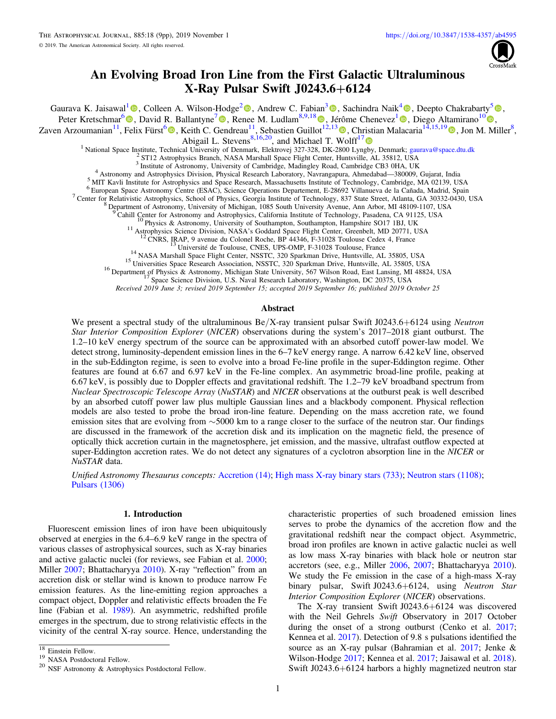

# An Evolving Broad Iron Line from the First Galactic Ultraluminous X-Ray Pulsar Swift J0243.6+6124

<span id="page-0-0"></span>Gaurava K. Jaisawal<sup>[1](https://orcid.org/0000-0002-6789-2723)</sup> [,](https://orcid.org/0000-0001-8804-8946) Colleen A. Wilson-Hodge<sup>[2](https://orcid.org/0000-0002-8585-0084)</sup> , Andrew C. Fabian<sup>[3](https://orcid.org/0000-0002-9378-4072)</sup> , Sachindra Naik<sup>[4](https://orcid.org/0000-0003-2865-4666)</sup> , Deepto Chakrabarty<sup>[5](https://orcid.org/0000-0001-8804-8946)</sup> , Peter Kretschmar<sup>6</sup> **([0](https://orcid.org/0000-0002-3422-0074)**[,](https://orcid.org/0000-0002-8961-939X) David R. Ballantyne<sup>[7](https://orcid.org/0000-0001-8128-6976)</sup> **(0**, Renee M. Ludlam<sup>8,9,[1](https://orcid.org/0000-0002-4397-8370)8</sup> **(0**, Jérôme Chenevez<sup>1</sup> **0**, Diego Altamirano<sup>10</sup> **0**,

Zaven Arzoumanian<sup>11</sup>, Felix Fürst<sup>[6](https://orcid.org/0000-0003-0388-0560)</sup> (**b**[,](https://orcid.org/0000-0002-0380-0041) Keith C. Gendreau<sup>[1](https://orcid.org/0000-0002-8961-939X)1</sup>, Sebastien Guillot<sup>12,1[3](https://orcid.org/0000-0002-6449-106X)</sup> (**b**, Christian Malacaria<sup>14,15,1[9](https://orcid.org/0000-0002-0380-0041)</sup> (**b**, Jon M. Miller<sup>8</sup>,

Abigail L. Stevens<sup>8,16,20</sup>, and Michael T. Wolff<sup>1[7](https://orcid.org/0000-0002-4013-5650)</sup>

<sup>1</sup> National Space Institute, Technical University of Denmark, Elektrovej 327-328, DK-2800 Lyngby, Denmark; [gaurava@space.dtu.dk](mailto:gaurava@space.dtu.dk)  $^{2}$  ST12 Astrophysics Branch, NASA Marshall Space Flight Center, Huntsville, AL 35812, USA

<sup>10</sup> Physics & Astronomy, University of Southampton, Southampton, Hampshire SO17 1BJ, UK<br>
<sup>11</sup> Astrophysics Science Division, NASA's Goddard Space Flight Center, Greenbelt, MD 20771, USA<br>
<sup>12</sup> CNRS, IRAP, 9 avenue du Colon

Received 2019 June 3; revised 2019 September 15; accepted 2019 September 16; published 2019 October 25

### Abstract

We present a spectral study of the ultraluminous Be/X-ray transient pulsar Swift J0243.6+6124 using *Neutron* Star Interior Composition Explorer (NICER) observations during the system's 2017–2018 giant outburst. The 1.2–10 keV energy spectrum of the source can be approximated with an absorbed cutoff power-law model. We detect strong, luminosity-dependent emission lines in the 6–7 keV energy range. A narrow 6.42 keV line, observed in the sub-Eddington regime, is seen to evolve into a broad Fe-line profile in the super-Eddington regime. Other features are found at 6.67 and 6.97 keV in the Fe-line complex. An asymmetric broad-line profile, peaking at 6.67 keV, is possibly due to Doppler effects and gravitational redshift. The 1.2–79 keV broadband spectrum from Nuclear Spectroscopic Telescope Array (NuSTAR) and NICER observations at the outburst peak is well described by an absorbed cutoff power law plus multiple Gaussian lines and a blackbody component. Physical reflection models are also tested to probe the broad iron-line feature. Depending on the mass accretion rate, we found emission sites that are evolving from ∼5000 km to a range closer to the surface of the neutron star. Our findings are discussed in the framework of the accretion disk and its implication on the magnetic field, the presence of optically thick accretion curtain in the magnetosphere, jet emission, and the massive, ultrafast outflow expected at super-Eddington accretion rates. We do not detect any signatures of a cyclotron absorption line in the NICER or NuSTAR data.

Unified Astronomy Thesaurus concepts: [Accretion](http://astrothesaurus.org/uat/14) (14); [High mass X-ray binary stars](http://astrothesaurus.org/uat/733) (733); [Neutron stars](http://astrothesaurus.org/uat/1108) (1108); [Pulsars](http://astrothesaurus.org/uat/1306) (1306)

# 1. Introduction

Fluorescent emission lines of iron have been ubiquitously observed at energies in the 6.4–6.9 keV range in the spectra of various classes of astrophysical sources, such as X-ray binaries and active galactic nuclei (for reviews, see Fabian et al. [2000](#page-8-0); Miller [2007;](#page-8-0) Bhattacharyya [2010](#page-8-0)). X-ray "reflection" from an accretion disk or stellar wind is known to produce narrow Fe emission features. As the line-emitting region approaches a compact object, Doppler and relativistic effects broaden the Fe line (Fabian et al. [1989](#page-8-0)). An asymmetric, redshifted profile emerges in the spectrum, due to strong relativistic effects in the vicinity of the central X-ray source. Hence, understanding the

characteristic properties of such broadened emission lines serves to probe the dynamics of the accretion flow and the gravitational redshift near the compact object. Asymmetric, broad iron profiles are known in active galactic nuclei as well as low mass X-ray binaries with black hole or neutron star accretors (see, e.g., Miller [2006](#page-8-0), [2007;](#page-8-0) Bhattacharyya [2010](#page-8-0)). We study the Fe emission in the case of a high-mass X-ray binary pulsar, Swift J0243.6+6124, using Neutron Star Interior Composition Explorer (NICER) observations.

The X-ray transient Swift J0243.6+6124 was discovered with the Neil Gehrels Swift Observatory in 2017 October during the onset of a strong outburst (Cenko et al. [2017](#page-8-0); Kennea et al. [2017](#page-8-0)). Detection of 9.8 s pulsations identified the source as an X-ray pulsar (Bahramian et al. [2017](#page-8-0); Jenke & Wilson-Hodge [2017;](#page-8-0) Kennea et al. [2017;](#page-8-0) Jaisawal et al. [2018](#page-8-0)). Swift J0243.6+6124 harbors a highly magnetized neutron star

<sup>&</sup>lt;sup>18</sup> Einstein Fellow.<br><sup>19</sup> NASA Postdoctoral Fellow.<br><sup>20</sup> NSF Astronomy & Astrophysics Postdoctoral Fellow.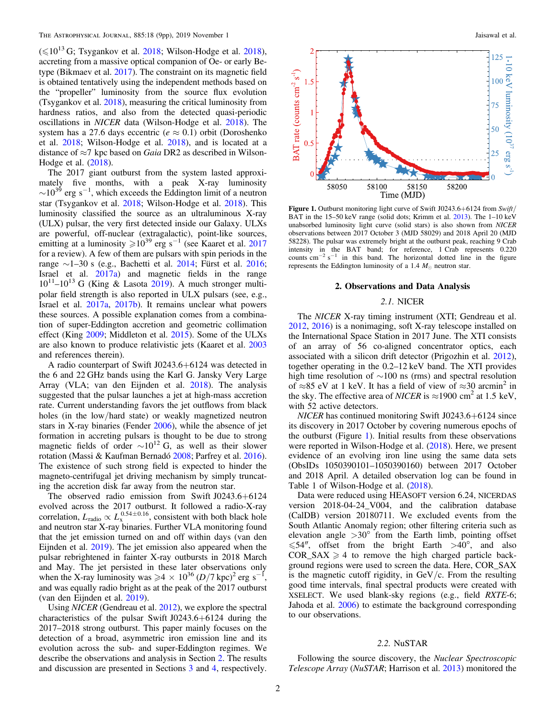$(\leq 10^{13} \text{ G};$  Tsygankov et al. [2018](#page-8-0); Wilson-Hodge et al. 2018), accreting from a massive optical companion of Oe- or early Betype (Bikmaev et al. [2017](#page-8-0)). The constraint on its magnetic field is obtained tentatively using the independent methods based on the "propeller" luminosity from the source flux evolution (Tsygankov et al. [2018](#page-8-0)), measuring the critical luminosity from hardness ratios, and also from the detected quasi-periodic oscillations in NICER data (Wilson-Hodge et al. [2018](#page-8-0)). The system has a 27.6 days eccentric ( $e \approx 0.1$ ) orbit (Doroshenko et al. [2018;](#page-8-0) Wilson-Hodge et al. [2018](#page-8-0)), and is located at a distance of  $\approx$ 7 kpc based on *Gaia* DR2 as described in Wilson-Hodge et al. ([2018](#page-8-0)).

The 2017 giant outburst from the system lasted approximately five months, with a peak X-ray luminosity  $\sim$ 10<sup>39</sup> erg s<sup>-1</sup>, which exceeds the Eddington limit of a neutron star (Tsygankov et al. [2018](#page-8-0); Wilson-Hodge et al. [2018](#page-8-0)). This luminosity classified the source as an ultraluminous X-ray (ULX) pulsar, the very first detected inside our Galaxy. ULXs are powerful, off-nuclear (extragalactic), point-like sources, emitting at a luminosity  $\ge 10^{39}$  erg s<sup>-1</sup> (see Kaaret et al. [2017](#page-8-0) for a review). A few of them are pulsars with spin periods in the range  $\sim$ 1–30 s (e.g., Bachetti et al. [2014;](#page-8-0) Fürst et al. [2016](#page-8-0); Israel et al. [2017a](#page-8-0)) and magnetic fields in the range  $10^{11}$ – $10^{13}$  G (King & Lasota [2019](#page-8-0)). A much stronger multipolar field strength is also reported in ULX pulsars (see, e.g., Israel et al. [2017a](#page-8-0), [2017b](#page-8-0)). It remains unclear what powers these sources. A possible explanation comes from a combination of super-Eddington accretion and geometric collimation effect (King [2009;](#page-8-0) Middleton et al. [2015](#page-8-0)). Some of the ULXs are also known to produce relativistic jets (Kaaret et al. [2003](#page-8-0) and references therein).

A radio counterpart of Swift J0243.6+6124 was detected in the 6 and 22 GHz bands using the Karl G. Jansky Very Large Array (VLA; van den Eijnden et al. [2018](#page-8-0)). The analysis suggested that the pulsar launches a jet at high-mass accretion rate. Current understanding favors the jet outflows from black holes (in the low/hard state) or weakly magnetized neutron stars in X-ray binaries (Fender [2006](#page-8-0)), while the absence of jet formation in accreting pulsars is thought to be due to strong magnetic fields of order  $\sim 10^{12}$  G, as well as their slower rotation (Massi & Kaufman Bernadó [2008](#page-8-0); Parfrey et al. [2016](#page-8-0)). The existence of such strong field is expected to hinder the magneto-centrifugal jet driving mechanism by simply truncating the accretion disk far away from the neutron star.

The observed radio emission from Swift J0243.6+6124 evolved across the 2017 outburst. It followed a radio-X-ray correlation,  $L_{\text{radio}} \propto L_{\text{x}}^{0.54 \pm 0.16}$ , consistent with both black hole and neutron star X-ray binaries. Further VLA monitoring found that the jet emission turned on and off within days (van den Eijnden et al. [2019](#page-8-0)). The jet emission also appeared when the pulsar rebrightened in fainter X-ray outbursts in 2018 March and May. The jet persisted in these later observations only when the X-ray luminosity was  $\ge 4 \times 10^{36} (D/7 \text{ kpc})^2$  erg s<sup>-1</sup>, and was equally radio bright as at the peak of the 2017 outburst (van den Eijnden et al. [2019](#page-8-0)).

Using NICER (Gendreau et al. [2012](#page-8-0)), we explore the spectral characteristics of the pulsar Swift J0243.6+6124 during the 2017–2018 strong outburst. This paper mainly focuses on the detection of a broad, asymmetric iron emission line and its evolution across the sub- and super-Eddington regimes. We describe the observations and analysis in Section 2. The results and discussion are presented in Sections [3](#page-2-0) and [4](#page-6-0), respectively.



Figure 1. Outburst monitoring light curve of Swift J0243.6+6124 from Swift/ BAT in the 15–50 keV range (solid dots; Krimm et al. [2013](#page-8-0)). The 1–10 keV unabsorbed luminosity light curve (solid stars) is also shown from NICER observations between 2017 October 3 (MJD 58029) and 2018 April 20 (MJD 58228). The pulsar was extremely bright at the outburst peak, reaching 9 Crab intensity in the BAT band; for reference, 1 Crab represents 0.220 counts cm<sup>-2</sup> s<sup>-1</sup> in this band. The horizontal dotted line in the figure represents the Eddington luminosity of a 1.4  $M_{\odot}$  neutron star.

#### 2. Observations and Data Analysis

#### 2.1. NICER

The NICER X-ray timing instrument (XTI; Gendreau et al. [2012,](#page-8-0) [2016](#page-8-0)) is a nonimaging, soft X-ray telescope installed on the International Space Station in 2017 June. The XTI consists of an array of 56 co-aligned concentrator optics, each associated with a silicon drift detector (Prigozhin et al. [2012](#page-8-0)), together operating in the 0.2–12 keV band. The XTI provides high time resolution of ∼100 ns (rms) and spectral resolution of ≈85 eV at 1 keV. It has a field of view of ≈30 arcmin<sup>2</sup> in the sky. The effective area of *NICER* is  $\approx$ 1900 cm<sup>2</sup> at 1.5 keV, with 52 active detectors.

NICER has continued monitoring Swift J0243.6+6124 since its discovery in 2017 October by covering numerous epochs of the outburst (Figure 1). Initial results from these observations were reported in Wilson-Hodge et al. ([2018](#page-8-0)). Here, we present evidence of an evolving iron line using the same data sets (ObsIDs 1050390101–1050390160) between 2017 October and 2018 April. A detailed observation log can be found in Table 1 of Wilson-Hodge et al. ([2018](#page-8-0)).

Data were reduced using HEASOFT version 6.24, NICERDAS version 2018-04-24\_V004, and the calibration database (CalDB) version 20180711. We excluded events from the South Atlantic Anomaly region; other filtering criteria such as elevation angle  $>30^{\circ}$  from the Earth limb, pointing offset  $\leq 54''$ , offset from the bright Earth  $>40^{\circ}$ , and also  $COR\_SAX \geq 4$  to remove the high charged particle background regions were used to screen the data. Here, COR\_SAX is the magnetic cutoff rigidity, in  $GeV/c$ . From the resulting good time intervals, final spectral products were created with XSELECT. We used blank-sky regions (e.g., field RXTE-6; Jahoda et al. [2006](#page-8-0)) to estimate the background corresponding to our observations.

#### 2.2. NuSTAR

Following the source discovery, the Nuclear Spectroscopic Telescope Array (NuSTAR; Harrison et al. [2013](#page-8-0)) monitored the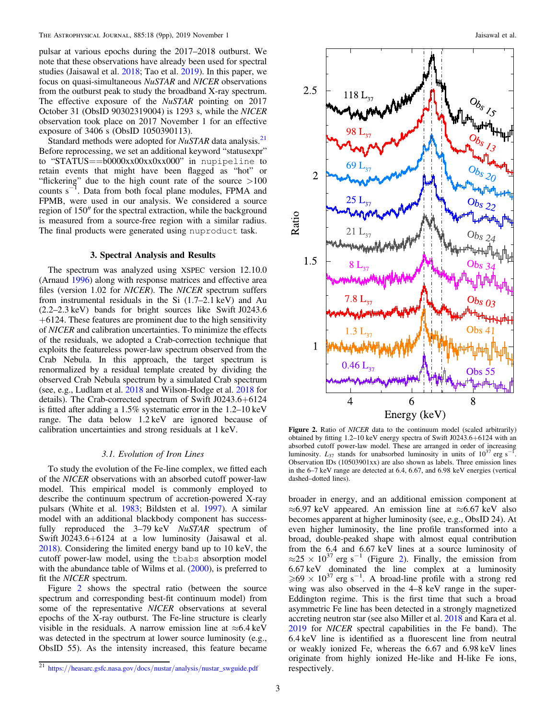<span id="page-2-0"></span>pulsar at various epochs during the 2017–2018 outburst. We note that these observations have already been used for spectral studies (Jaisawal et al. [2018](#page-8-0); Tao et al. [2019](#page-8-0)). In this paper, we focus on quasi-simultaneous NuSTAR and NICER observations from the outburst peak to study the broadband X-ray spectrum. The effective exposure of the NuSTAR pointing on 2017 October 31 (ObsID 90302319004) is 1293 s, while the NICER observation took place on 2017 November 1 for an effective exposure of 3406 s (ObsID 1050390113).

Standard methods were adopted for  $NuSTAR$  data analysis.<sup>21</sup> Before reprocessing, we set an additional keyword "statusexpr" to "STATUS==b0000xx00xx0xx000" in nupipeline to retain events that might have been flagged as "hot" or "flickering" due to the high count rate of the source  $>100$ counts  $s^{-1}$ . Data from both focal plane modules, FPMA and FPMB, were used in our analysis. We considered a source region of 150″ for the spectral extraction, while the background is measured from a source-free region with a similar radius. The final products were generated using nuproduct task.

### 3. Spectral Analysis and Results

The spectrum was analyzed using XSPEC version 12.10.0 (Arnaud [1996](#page-8-0)) along with response matrices and effective area files (version 1.02 for NICER). The NICER spectrum suffers from instrumental residuals in the Si (1.7–2.1 keV) and Au (2.2–2.3 keV) bands for bright sources like Swift J0243.6  $+6124$ . These features are prominent due to the high sensitivity of NICER and calibration uncertainties. To minimize the effects of the residuals, we adopted a Crab-correction technique that exploits the featureless power-law spectrum observed from the Crab Nebula. In this approach, the target spectrum is renormalized by a residual template created by dividing the observed Crab Nebula spectrum by a simulated Crab spectrum (see, e.g., Ludlam et al. [2018](#page-8-0) and Wilson-Hodge et al. [2018](#page-8-0) for details). The Crab-corrected spectrum of Swift J0243.6+6124 is fitted after adding a 1.5% systematic error in the 1.2–10 keV range. The data below 1.2 keV are ignored because of calibration uncertainties and strong residuals at 1 keV.

### 3.1. Evolution of Iron Lines

To study the evolution of the Fe-line complex, we fitted each of the NICER observations with an absorbed cutoff power-law model. This empirical model is commonly employed to describe the continuum spectrum of accretion-powered X-ray pulsars (White et al. [1983;](#page-8-0) Bildsten et al. [1997](#page-8-0)). A similar model with an additional blackbody component has successfully reproduced the 3–79 keV NuSTAR spectrum of Swift J0243.6+6124 at a low luminosity (Jaisawal et al. [2018](#page-8-0)). Considering the limited energy band up to 10 keV, the cutoff power-law model, using the tbabs absorption model with the abundance table of Wilms et al. ([2000](#page-8-0)), is preferred to fit the NICER spectrum.

Figure 2 shows the spectral ratio (between the source spectrum and corresponding best-fit continuum model) from some of the representative NICER observations at several epochs of the X-ray outburst. The Fe-line structure is clearly visible in the residuals. A narrow emission line at  $\approx 6.4 \text{ keV}$ was detected in the spectrum at lower source luminosity (e.g., ObsID 55). As the intensity increased, this feature became



Figure 2. Ratio of NICER data to the continuum model (scaled arbitrarily) obtained by fitting 1.2–10 keV energy spectra of Swift J0243.6+6124 with an absorbed cutoff power-law model. These are arranged in order of increasing luminosity.  $L_{37}$  stands for unabsorbed luminosity in units of  $10^{37}$  erg s<sup>-1</sup>. Observation IDs (10503901xx) are also shown as labels. Three emission lines in the 6–7 keV range are detected at 6.4, 6.67, and 6.98 keV energies (vertical dashed–dotted lines).

broader in energy, and an additional emission component at  $\approx$ 6.97 keV appeared. An emission line at  $\approx$ 6.67 keV also becomes apparent at higher luminosity (see, e.g., ObsID 24). At even higher luminosity, the line profile transformed into a broad, double-peaked shape with almost equal contribution from the 6.4 and 6.67 keV lines at a source luminosity of  $\approx$ 25 × 10<sup>37</sup> erg s<sup>-1</sup> (Figure 2). Finally, the emission from 6.67 keV dominated the line complex at a luminosity  $\ge 69 \times 10^{37}$  erg s<sup>-1</sup>. A broad-line profile with a strong red wing was also observed in the 4–8 keV range in the super-Eddington regime. This is the first time that such a broad asymmetric Fe line has been detected in a strongly magnetized accreting neutron star (see also Miller et al. [2018](#page-8-0) and Kara et al. [2019](#page-8-0) for NICER spectral capabilities in the Fe band). The 6.4 keV line is identified as a fluorescent line from neutral or weakly ionized Fe, whereas the 6.67 and 6.98 keV lines originate from highly ionized He-like and H-like Fe ions, respectively.

<sup>21</sup> https://[heasarc.gsfc.nasa.gov](https://heasarc.gsfc.nasa.gov/docs/nustar/analysis/nustar_swguide.pdf)/docs/nustar/analysis/nustar\_swguide.pdf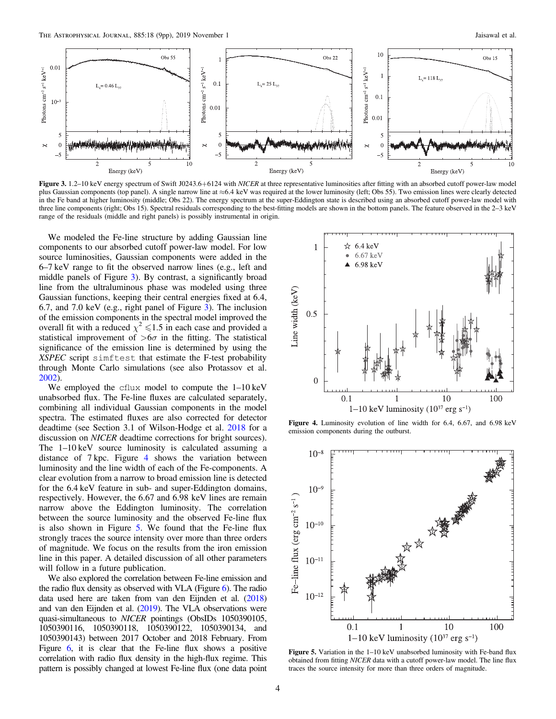

Figure 3. 1.2–10 keV energy spectrum of Swift J0243.6+6124 with NICER at three representative luminosities after fitting with an absorbed cutoff power-law model plus Gaussian components (top panel). A single narrow line at ≈6.4 keV was required at the lower luminosity (left; Obs 55). Two emission lines were clearly detected in the Fe band at higher luminosity (middle; Obs 22). The energy spectrum at the super-Eddington state is described using an absorbed cutoff power-law model with three line components (right; Obs 15). Spectral residuals corresponding to the best-fitting models are shown in the bottom panels. The feature observed in the 2–3 keV range of the residuals (middle and right panels) is possibly instrumental in origin.

We modeled the Fe-line structure by adding Gaussian line components to our absorbed cutoff power-law model. For low source luminosities, Gaussian components were added in the 6–7 keV range to fit the observed narrow lines (e.g., left and middle panels of Figure 3). By contrast, a significantly broad line from the ultraluminous phase was modeled using three Gaussian functions, keeping their central energies fixed at 6.4, 6.7, and 7.0 keV (e.g., right panel of Figure 3). The inclusion of the emission components in the spectral model improved the overall fit with a reduced  $\chi^2 \leq 1.5$  in each case and provided a statistical improvement of  $> 6\sigma$  in the fitting. The statistical significance of the emission line is determined by using the XSPEC script simftest that estimate the F-test probability through Monte Carlo simulations (see also Protassov et al. [2002](#page-8-0)).

We employed the cflux model to compute the 1–10 keV unabsorbed flux. The Fe-line fluxes are calculated separately, combining all individual Gaussian components in the model spectra. The estimated fluxes are also corrected for detector deadtime (see Section 3.1 of Wilson-Hodge et al. [2018](#page-8-0) for a discussion on NICER deadtime corrections for bright sources). The 1–10 keV source luminosity is calculated assuming a distance of 7 kpc. Figure 4 shows the variation between luminosity and the line width of each of the Fe-components. A clear evolution from a narrow to broad emission line is detected for the 6.4 keV feature in sub- and super-Eddington domains, respectively. However, the 6.67 and 6.98 keV lines are remain narrow above the Eddington luminosity. The correlation between the source luminosity and the observed Fe-line flux is also shown in Figure 5. We found that the Fe-line flux strongly traces the source intensity over more than three orders of magnitude. We focus on the results from the iron emission line in this paper. A detailed discussion of all other parameters will follow in a future publication.

We also explored the correlation between Fe-line emission and the radio flux density as observed with VLA (Figure [6](#page-4-0)). The radio data used here are taken from van den Eijnden et al. ([2018](#page-8-0)) and van den Eijnden et al. ([2019](#page-8-0)). The VLA observations were quasi-simultaneous to NICER pointings (ObsIDs 1050390105, 1050390116, 1050390118, 1050390122, 1050390134, and 1050390143) between 2017 October and 2018 February. From Figure [6](#page-4-0), it is clear that the Fe-line flux shows a positive correlation with radio flux density in the high-flux regime. This pattern is possibly changed at lowest Fe-line flux (one data point



Figure 4. Luminosity evolution of line width for 6.4, 6.67, and 6.98 keV emission components during the outburst.



Figure 5. Variation in the 1–10 keV unabsorbed luminosity with Fe-band flux obtained from fitting NICER data with a cutoff power-law model. The line flux traces the source intensity for more than three orders of magnitude.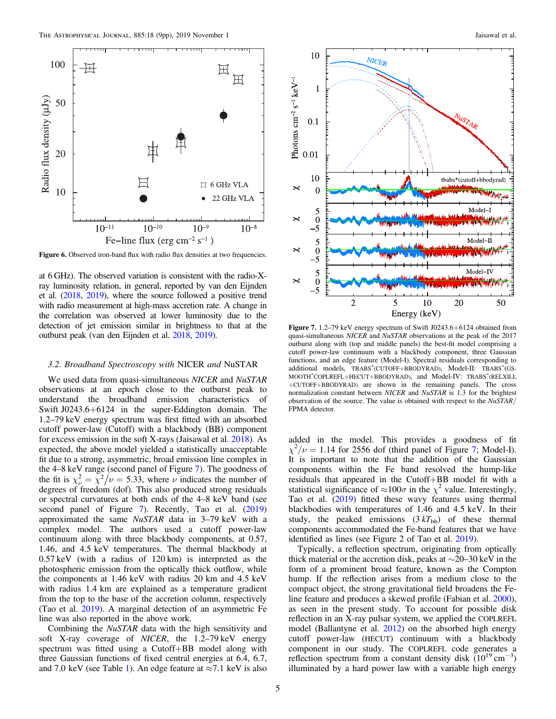<span id="page-4-0"></span>

Figure 6. Observed iron-band flux with radio flux densities at two frequencies.

at 6 GHz). The observed variation is consistent with the radio-Xray luminosity relation, in general, reported by van den Eijnden et al. ([2018,](#page-8-0) [2019](#page-8-0)), where the source followed a positive trend with radio measurement at high-mass accretion rate. A change in the correlation was observed at lower luminosity due to the detection of jet emission similar in brightness to that at the outburst peak (van den Eijnden et al. [2018](#page-8-0), [2019](#page-8-0)).

### 3.2. Broadband Spectroscopy with NICER and NuSTAR

We used data from quasi-simultaneous NICER and NuSTAR observations at an epoch close to the outburst peak to understand the broadband emission characteristics of Swift J0243.6+6124 in the super-Eddington domain. The 1.2–79 keV energy spectrum was first fitted with an absorbed cutoff power-law (Cutoff) with a blackbody (BB) component for excess emission in the soft X-rays (Jaisawal et al. [2018](#page-8-0)). As expected, the above model yielded a statistically unacceptable fit due to a strong, asymmetric, broad emission line complex in the 4–8 keV range (second panel of Figure 7). The goodness of the fit is  $\chi^2_{\nu} = \chi^2/\nu = 5.33$ , where  $\nu$  indicates the number of degrees of freedom (dof). This also produced strong residuals or spectral curvatures at both ends of the 4–8 keV band (see second panel of Figure 7). Recently, Tao et al. ([2019](#page-8-0)) approximated the same NuSTAR data in 3–79 keV with a complex model. The authors used a cutoff power-law continuum along with three blackbody components, at 0.57, 1.46, and 4.5 keV temperatures. The thermal blackbody at 0.57 keV (with a radius of 120 km) is interpreted as the photospheric emission from the optically thick outflow, while the components at 1.46 keV with radius 20 km and 4.5 keV with radius 1.4 km are explained as a temperature gradient from the top to the base of the accretion column, respectively (Tao et al. [2019](#page-8-0)). A marginal detection of an asymmetric Fe line was also reported in the above work.

Combining the NuSTAR data with the high sensitivity and soft X-ray coverage of NICER, the 1.2–79 keV energy spectrum was fitted using a Cutoff+BB model along with three Gaussian functions of fixed central energies at 6.4, 6.7, and 7.0 keV (see Table [1](#page-5-0)). An edge feature at  $\approx$ 7.1 keV is also



Figure 7. 1.2–79 keV energy spectrum of Swift J0243.6+6124 obtained from quasi-simultaneous NICER and NuSTAR observations at the peak of the 2017 outburst along with (top and middle panels) the best-fit model comprising a cutoff power-law continuum with a blackbody component, three Gaussian functions, and an edge feature (Model-I). Spectral residuals corresponding to additional models, TBABS\*(CUTOFF+BBODYRAD), Model-II: TBABS\*(GS-MOOTH\* COPLREFL+HECUT+BBODYRAD), and Model-IV: TBABS\* (RELXILL +CUTOFF+BBODYRAD) are shown in the remaining panels. The cross normalization constant between NICER and NuSTAR is 1.3 for the brightest observation of the source. The value is obtained with respect to the NuSTAR/ FPMA detector.

added in the model. This provides a goodness of fit  $\chi^2/\nu = 1.14$  for 2556 dof (third panel of Figure 7; Model-I). It is important to note that the addition of the Gaussian components within the Fe band resolved the hump-like residuals that appeared in the Cutoff+BB model fit with a statistical significance of  $\approx 100\sigma$  in the  $\chi^2$  value. Interestingly, Tao et al. ([2019](#page-8-0)) fitted these wavy features using thermal blackbodies with temperatures of 1.46 and 4.5 keV. In their study, the peaked emissions  $(3 kT_{bb})$  of these thermal components accommodated the Fe-band features that we have identified as lines (see Figure 2 of Tao et al. [2019](#page-8-0)).

Typically, a reflection spectrum, originating from optically thick material or the accretion disk, peaks at ∼20–30 keV in the form of a prominent broad feature, known as the Compton hump. If the reflection arises from a medium close to the compact object, the strong gravitational field broadens the Feline feature and produces a skewed profile (Fabian et al. [2000](#page-8-0)), as seen in the present study. To account for possible disk reflection in an X-ray pulsar system, we applied the COPLREFL model (Ballantyne et al. [2012](#page-8-0)) on the absorbed high energy cutoff power-law (HECUT) continuum with a blackbody component in our study. The COPLREFL code generates a reflection spectrum from a constant density disk  $(10^{19} \text{ cm}^{-3})$ illuminated by a hard power law with a variable high energy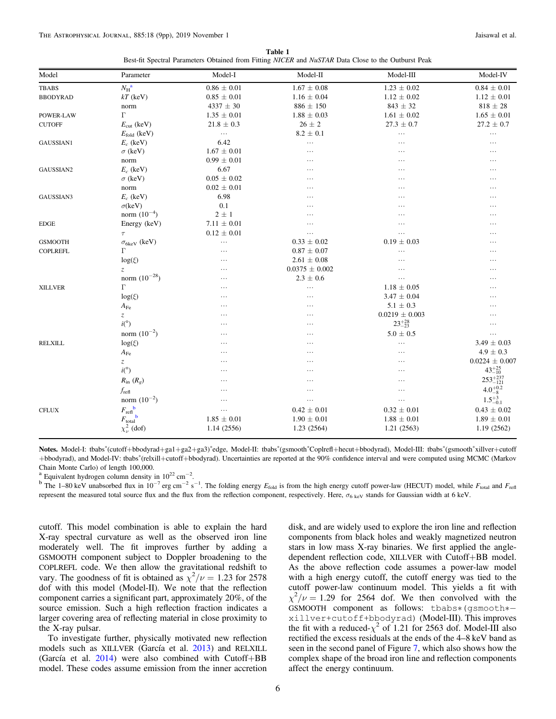| Table 1                                                                                             |  |  |  |  |  |  |  |  |  |  |  |
|-----------------------------------------------------------------------------------------------------|--|--|--|--|--|--|--|--|--|--|--|
| Best-fit Spectral Parameters Obtained from Fitting NICER and NuSTAR Data Close to the Outburst Peak |  |  |  |  |  |  |  |  |  |  |  |

<span id="page-5-0"></span>

| $N_{\rm H}^{\rm \,a}$<br>$0.86 \pm 0.01$<br>$1.67 \pm 0.08$<br>$1.23 \pm 0.02$<br>$0.84 \pm 0.01$<br><b>TBABS</b><br>$1.12 \pm 0.01$<br>$kT$ (keV)<br>$0.85 \pm 0.01$<br>$1.16 \pm 0.04$<br>$1.12 \pm 0.02$<br><b>BBODYRAD</b><br>$4337 \pm 30$<br>$843 \pm 32$<br>$818 \pm 28$<br>$886 \pm 150$<br>norm<br>$\Gamma$<br>$1.35 \pm 0.01$<br>$1.88 \pm 0.03$<br>$1.61 \pm 0.02$<br>$1.65 \pm 0.01$<br>POWER-LAW<br>$26 \pm 2$<br>$27.3 \pm 0.7$<br>$27.2 \pm 0.7$<br>$E_{\text{cut}}$ (keV)<br>$21.8 \pm 0.3$<br><b>CUTOFF</b><br>$8.2 \pm 0.1$<br>$E_{\text{fold}}$ (keV)<br>$\ldots$<br>$\ldots$<br>$\cdots$<br>6.42<br>$E_c$ (keV)<br>GAUSSIAN1<br>$\cdots$<br>$\cdots$<br>$\cdots$<br>$\sigma$ (keV)<br>$1.67 \pm 0.01$<br>.<br>$\cdots$<br>$\cdots$<br>$0.99 \pm 0.01$<br>norm<br>$\cdots$<br>.<br>$\cdots$<br>$E_c$ (keV)<br>6.67<br>GAUSSIAN2<br>$\cdots$<br>$\cdots$<br>$\cdots$<br>$0.05 \pm 0.02$<br>$\sigma$ (keV)<br>.<br>$\cdots$<br><br>$0.02 \pm 0.01$<br>norm<br>$\cdots$<br>.<br>$\cdots$<br>6.98<br>$E_c$ (keV)<br>GAUSSIAN3<br>.<br><br>.<br>$\sigma$ (keV)<br>0.1<br><br>.<br>$\ddots$<br>norm $(10^{-4})$<br>$2 \pm 1$<br>$\cdots$<br>.<br>$\cdots$<br>Energy (keV)<br>$7.11 \pm 0.01$<br><b>EDGE</b><br>$\cdots$<br>$\cdots$<br>$\ddots$<br>$0.12 \pm 0.01$<br>$\tau$<br>$\ldots$<br>$\cdots$<br>$\cdots$<br>$0.19 \pm 0.03$<br>$0.33 \pm 0.02$<br><b>GSMOOTH</b><br>$\sigma_{6keV}$ (keV)<br>$\ldots$<br>$\cdots$<br>Г<br>$0.87 \pm 0.07$<br><b>COPLREFL</b><br>$\cdots$<br>$\ddots$<br>$\cdots$<br>$2.61 \pm 0.08$<br>$log(\xi)$<br>$\cdots$<br>$\cdots$<br>$\cdots$<br>$0.0375 \pm 0.002$<br>Z<br>.<br>$\cdots$<br>$\cdots$<br>norm $(10^{-28})$<br>$2.3\,\pm\,0.6$<br>$\cdots$<br>$\cdots$<br>$\cdots$<br>$\Gamma$<br>$1.18 \pm 0.05$<br><b>XILLVER</b><br>$\ldots$<br>$\cdots$<br>$\cdots$<br>$log(\xi)$<br>$3.47 \pm 0.04$<br>$\cdots$<br>$\cdots$<br>.<br>$5.1 \pm 0.3$<br>$A_{\rm Fe}$<br>$\cdots$<br>$\cdots$<br>.<br>$0.0219 \pm 0.003$<br>$\ensuremath{\mathnormal{Z}}$<br>$\cdots$<br>$\cdots$<br>.<br>i(°)<br>$23^{+28}_{-23}$<br>$\cdots$<br>$\cdots$<br>$\cdots$<br>norm $(10^{-2})$<br>$5.0 \pm 0.5$<br>$\cdots$<br>$\cdots$<br>$\cdots$<br>$log(\xi)$<br>$3.49 \pm 0.03$<br><b>RELXILL</b><br>$\cdots$<br>$\cdots$<br>.<br>$4.9 \pm 0.3$<br>$A_{\rm Fe}$<br>$\cdots$<br>.<br>$\cdots$<br>$\ensuremath{\mathnormal{Z}}$<br>$\cdots$<br>.<br>$\cdots$<br>$43^{+25}_{-10}$<br>i(°)<br>$\ldots$<br>$\cdots$<br>$\cdots$<br>$253^{+237}_{-121}$<br>$R_{\rm in}$ $(R_g)$<br>$\cdots$<br>.<br>$\cdots$<br>$4.0^{+0.2}_{-8}$<br>$f_{\text{refl}}$<br>.<br>$\cdots$<br>$\cdots$<br>$1.5^{+3}_{-0.1}$<br>norm $(10^{-2})$<br>$\cdots$<br>$\cdots$<br>$\ldots$<br>$F_{\mathrm{refl}}^{\quad \  \, b}$<br>$0.43 \pm 0.02$<br>$0.42 \pm 0.01$<br>$0.32 \pm 0.01$<br><b>CFLUX</b><br>$\ldots$<br>b<br>$1.85 \pm 0.01$<br>$1.90 \pm 0.01$<br>$1.89 \pm 0.01$<br>$1.88 \pm 0.01$<br>$F_{\text{total}}$<br>$\chi^2_{\nu}$ (dof)<br>1.21(2563)<br>1.19(2562)<br>1.14 (2556)<br>1.23(2564) | Model | Parameter | Model-I | Model-II | Model-III | Model-IV           |
|--------------------------------------------------------------------------------------------------------------------------------------------------------------------------------------------------------------------------------------------------------------------------------------------------------------------------------------------------------------------------------------------------------------------------------------------------------------------------------------------------------------------------------------------------------------------------------------------------------------------------------------------------------------------------------------------------------------------------------------------------------------------------------------------------------------------------------------------------------------------------------------------------------------------------------------------------------------------------------------------------------------------------------------------------------------------------------------------------------------------------------------------------------------------------------------------------------------------------------------------------------------------------------------------------------------------------------------------------------------------------------------------------------------------------------------------------------------------------------------------------------------------------------------------------------------------------------------------------------------------------------------------------------------------------------------------------------------------------------------------------------------------------------------------------------------------------------------------------------------------------------------------------------------------------------------------------------------------------------------------------------------------------------------------------------------------------------------------------------------------------------------------------------------------------------------------------------------------------------------------------------------------------------------------------------------------------------------------------------------------------------------------------------------------------------------------------------------------------------------------------------------------------------------------------------------------------------------------------------------------------------------------------------------------------------------------------------------------------------------------------------------------------------------------------------------------------------------------------------------------------------------------------------------------------------------------------------------------------------------------------------------|-------|-----------|---------|----------|-----------|--------------------|
|                                                                                                                                                                                                                                                                                                                                                                                                                                                                                                                                                                                                                                                                                                                                                                                                                                                                                                                                                                                                                                                                                                                                                                                                                                                                                                                                                                                                                                                                                                                                                                                                                                                                                                                                                                                                                                                                                                                                                                                                                                                                                                                                                                                                                                                                                                                                                                                                                                                                                                                                                                                                                                                                                                                                                                                                                                                                                                                                                                                                              |       |           |         |          |           |                    |
|                                                                                                                                                                                                                                                                                                                                                                                                                                                                                                                                                                                                                                                                                                                                                                                                                                                                                                                                                                                                                                                                                                                                                                                                                                                                                                                                                                                                                                                                                                                                                                                                                                                                                                                                                                                                                                                                                                                                                                                                                                                                                                                                                                                                                                                                                                                                                                                                                                                                                                                                                                                                                                                                                                                                                                                                                                                                                                                                                                                                              |       |           |         |          |           |                    |
|                                                                                                                                                                                                                                                                                                                                                                                                                                                                                                                                                                                                                                                                                                                                                                                                                                                                                                                                                                                                                                                                                                                                                                                                                                                                                                                                                                                                                                                                                                                                                                                                                                                                                                                                                                                                                                                                                                                                                                                                                                                                                                                                                                                                                                                                                                                                                                                                                                                                                                                                                                                                                                                                                                                                                                                                                                                                                                                                                                                                              |       |           |         |          |           |                    |
|                                                                                                                                                                                                                                                                                                                                                                                                                                                                                                                                                                                                                                                                                                                                                                                                                                                                                                                                                                                                                                                                                                                                                                                                                                                                                                                                                                                                                                                                                                                                                                                                                                                                                                                                                                                                                                                                                                                                                                                                                                                                                                                                                                                                                                                                                                                                                                                                                                                                                                                                                                                                                                                                                                                                                                                                                                                                                                                                                                                                              |       |           |         |          |           |                    |
|                                                                                                                                                                                                                                                                                                                                                                                                                                                                                                                                                                                                                                                                                                                                                                                                                                                                                                                                                                                                                                                                                                                                                                                                                                                                                                                                                                                                                                                                                                                                                                                                                                                                                                                                                                                                                                                                                                                                                                                                                                                                                                                                                                                                                                                                                                                                                                                                                                                                                                                                                                                                                                                                                                                                                                                                                                                                                                                                                                                                              |       |           |         |          |           |                    |
|                                                                                                                                                                                                                                                                                                                                                                                                                                                                                                                                                                                                                                                                                                                                                                                                                                                                                                                                                                                                                                                                                                                                                                                                                                                                                                                                                                                                                                                                                                                                                                                                                                                                                                                                                                                                                                                                                                                                                                                                                                                                                                                                                                                                                                                                                                                                                                                                                                                                                                                                                                                                                                                                                                                                                                                                                                                                                                                                                                                                              |       |           |         |          |           |                    |
|                                                                                                                                                                                                                                                                                                                                                                                                                                                                                                                                                                                                                                                                                                                                                                                                                                                                                                                                                                                                                                                                                                                                                                                                                                                                                                                                                                                                                                                                                                                                                                                                                                                                                                                                                                                                                                                                                                                                                                                                                                                                                                                                                                                                                                                                                                                                                                                                                                                                                                                                                                                                                                                                                                                                                                                                                                                                                                                                                                                                              |       |           |         |          |           |                    |
|                                                                                                                                                                                                                                                                                                                                                                                                                                                                                                                                                                                                                                                                                                                                                                                                                                                                                                                                                                                                                                                                                                                                                                                                                                                                                                                                                                                                                                                                                                                                                                                                                                                                                                                                                                                                                                                                                                                                                                                                                                                                                                                                                                                                                                                                                                                                                                                                                                                                                                                                                                                                                                                                                                                                                                                                                                                                                                                                                                                                              |       |           |         |          |           |                    |
|                                                                                                                                                                                                                                                                                                                                                                                                                                                                                                                                                                                                                                                                                                                                                                                                                                                                                                                                                                                                                                                                                                                                                                                                                                                                                                                                                                                                                                                                                                                                                                                                                                                                                                                                                                                                                                                                                                                                                                                                                                                                                                                                                                                                                                                                                                                                                                                                                                                                                                                                                                                                                                                                                                                                                                                                                                                                                                                                                                                                              |       |           |         |          |           |                    |
|                                                                                                                                                                                                                                                                                                                                                                                                                                                                                                                                                                                                                                                                                                                                                                                                                                                                                                                                                                                                                                                                                                                                                                                                                                                                                                                                                                                                                                                                                                                                                                                                                                                                                                                                                                                                                                                                                                                                                                                                                                                                                                                                                                                                                                                                                                                                                                                                                                                                                                                                                                                                                                                                                                                                                                                                                                                                                                                                                                                                              |       |           |         |          |           |                    |
|                                                                                                                                                                                                                                                                                                                                                                                                                                                                                                                                                                                                                                                                                                                                                                                                                                                                                                                                                                                                                                                                                                                                                                                                                                                                                                                                                                                                                                                                                                                                                                                                                                                                                                                                                                                                                                                                                                                                                                                                                                                                                                                                                                                                                                                                                                                                                                                                                                                                                                                                                                                                                                                                                                                                                                                                                                                                                                                                                                                                              |       |           |         |          |           |                    |
|                                                                                                                                                                                                                                                                                                                                                                                                                                                                                                                                                                                                                                                                                                                                                                                                                                                                                                                                                                                                                                                                                                                                                                                                                                                                                                                                                                                                                                                                                                                                                                                                                                                                                                                                                                                                                                                                                                                                                                                                                                                                                                                                                                                                                                                                                                                                                                                                                                                                                                                                                                                                                                                                                                                                                                                                                                                                                                                                                                                                              |       |           |         |          |           |                    |
|                                                                                                                                                                                                                                                                                                                                                                                                                                                                                                                                                                                                                                                                                                                                                                                                                                                                                                                                                                                                                                                                                                                                                                                                                                                                                                                                                                                                                                                                                                                                                                                                                                                                                                                                                                                                                                                                                                                                                                                                                                                                                                                                                                                                                                                                                                                                                                                                                                                                                                                                                                                                                                                                                                                                                                                                                                                                                                                                                                                                              |       |           |         |          |           |                    |
|                                                                                                                                                                                                                                                                                                                                                                                                                                                                                                                                                                                                                                                                                                                                                                                                                                                                                                                                                                                                                                                                                                                                                                                                                                                                                                                                                                                                                                                                                                                                                                                                                                                                                                                                                                                                                                                                                                                                                                                                                                                                                                                                                                                                                                                                                                                                                                                                                                                                                                                                                                                                                                                                                                                                                                                                                                                                                                                                                                                                              |       |           |         |          |           |                    |
|                                                                                                                                                                                                                                                                                                                                                                                                                                                                                                                                                                                                                                                                                                                                                                                                                                                                                                                                                                                                                                                                                                                                                                                                                                                                                                                                                                                                                                                                                                                                                                                                                                                                                                                                                                                                                                                                                                                                                                                                                                                                                                                                                                                                                                                                                                                                                                                                                                                                                                                                                                                                                                                                                                                                                                                                                                                                                                                                                                                                              |       |           |         |          |           |                    |
|                                                                                                                                                                                                                                                                                                                                                                                                                                                                                                                                                                                                                                                                                                                                                                                                                                                                                                                                                                                                                                                                                                                                                                                                                                                                                                                                                                                                                                                                                                                                                                                                                                                                                                                                                                                                                                                                                                                                                                                                                                                                                                                                                                                                                                                                                                                                                                                                                                                                                                                                                                                                                                                                                                                                                                                                                                                                                                                                                                                                              |       |           |         |          |           |                    |
|                                                                                                                                                                                                                                                                                                                                                                                                                                                                                                                                                                                                                                                                                                                                                                                                                                                                                                                                                                                                                                                                                                                                                                                                                                                                                                                                                                                                                                                                                                                                                                                                                                                                                                                                                                                                                                                                                                                                                                                                                                                                                                                                                                                                                                                                                                                                                                                                                                                                                                                                                                                                                                                                                                                                                                                                                                                                                                                                                                                                              |       |           |         |          |           |                    |
|                                                                                                                                                                                                                                                                                                                                                                                                                                                                                                                                                                                                                                                                                                                                                                                                                                                                                                                                                                                                                                                                                                                                                                                                                                                                                                                                                                                                                                                                                                                                                                                                                                                                                                                                                                                                                                                                                                                                                                                                                                                                                                                                                                                                                                                                                                                                                                                                                                                                                                                                                                                                                                                                                                                                                                                                                                                                                                                                                                                                              |       |           |         |          |           |                    |
|                                                                                                                                                                                                                                                                                                                                                                                                                                                                                                                                                                                                                                                                                                                                                                                                                                                                                                                                                                                                                                                                                                                                                                                                                                                                                                                                                                                                                                                                                                                                                                                                                                                                                                                                                                                                                                                                                                                                                                                                                                                                                                                                                                                                                                                                                                                                                                                                                                                                                                                                                                                                                                                                                                                                                                                                                                                                                                                                                                                                              |       |           |         |          |           |                    |
|                                                                                                                                                                                                                                                                                                                                                                                                                                                                                                                                                                                                                                                                                                                                                                                                                                                                                                                                                                                                                                                                                                                                                                                                                                                                                                                                                                                                                                                                                                                                                                                                                                                                                                                                                                                                                                                                                                                                                                                                                                                                                                                                                                                                                                                                                                                                                                                                                                                                                                                                                                                                                                                                                                                                                                                                                                                                                                                                                                                                              |       |           |         |          |           |                    |
|                                                                                                                                                                                                                                                                                                                                                                                                                                                                                                                                                                                                                                                                                                                                                                                                                                                                                                                                                                                                                                                                                                                                                                                                                                                                                                                                                                                                                                                                                                                                                                                                                                                                                                                                                                                                                                                                                                                                                                                                                                                                                                                                                                                                                                                                                                                                                                                                                                                                                                                                                                                                                                                                                                                                                                                                                                                                                                                                                                                                              |       |           |         |          |           |                    |
|                                                                                                                                                                                                                                                                                                                                                                                                                                                                                                                                                                                                                                                                                                                                                                                                                                                                                                                                                                                                                                                                                                                                                                                                                                                                                                                                                                                                                                                                                                                                                                                                                                                                                                                                                                                                                                                                                                                                                                                                                                                                                                                                                                                                                                                                                                                                                                                                                                                                                                                                                                                                                                                                                                                                                                                                                                                                                                                                                                                                              |       |           |         |          |           |                    |
|                                                                                                                                                                                                                                                                                                                                                                                                                                                                                                                                                                                                                                                                                                                                                                                                                                                                                                                                                                                                                                                                                                                                                                                                                                                                                                                                                                                                                                                                                                                                                                                                                                                                                                                                                                                                                                                                                                                                                                                                                                                                                                                                                                                                                                                                                                                                                                                                                                                                                                                                                                                                                                                                                                                                                                                                                                                                                                                                                                                                              |       |           |         |          |           |                    |
|                                                                                                                                                                                                                                                                                                                                                                                                                                                                                                                                                                                                                                                                                                                                                                                                                                                                                                                                                                                                                                                                                                                                                                                                                                                                                                                                                                                                                                                                                                                                                                                                                                                                                                                                                                                                                                                                                                                                                                                                                                                                                                                                                                                                                                                                                                                                                                                                                                                                                                                                                                                                                                                                                                                                                                                                                                                                                                                                                                                                              |       |           |         |          |           |                    |
|                                                                                                                                                                                                                                                                                                                                                                                                                                                                                                                                                                                                                                                                                                                                                                                                                                                                                                                                                                                                                                                                                                                                                                                                                                                                                                                                                                                                                                                                                                                                                                                                                                                                                                                                                                                                                                                                                                                                                                                                                                                                                                                                                                                                                                                                                                                                                                                                                                                                                                                                                                                                                                                                                                                                                                                                                                                                                                                                                                                                              |       |           |         |          |           |                    |
|                                                                                                                                                                                                                                                                                                                                                                                                                                                                                                                                                                                                                                                                                                                                                                                                                                                                                                                                                                                                                                                                                                                                                                                                                                                                                                                                                                                                                                                                                                                                                                                                                                                                                                                                                                                                                                                                                                                                                                                                                                                                                                                                                                                                                                                                                                                                                                                                                                                                                                                                                                                                                                                                                                                                                                                                                                                                                                                                                                                                              |       |           |         |          |           |                    |
|                                                                                                                                                                                                                                                                                                                                                                                                                                                                                                                                                                                                                                                                                                                                                                                                                                                                                                                                                                                                                                                                                                                                                                                                                                                                                                                                                                                                                                                                                                                                                                                                                                                                                                                                                                                                                                                                                                                                                                                                                                                                                                                                                                                                                                                                                                                                                                                                                                                                                                                                                                                                                                                                                                                                                                                                                                                                                                                                                                                                              |       |           |         |          |           |                    |
|                                                                                                                                                                                                                                                                                                                                                                                                                                                                                                                                                                                                                                                                                                                                                                                                                                                                                                                                                                                                                                                                                                                                                                                                                                                                                                                                                                                                                                                                                                                                                                                                                                                                                                                                                                                                                                                                                                                                                                                                                                                                                                                                                                                                                                                                                                                                                                                                                                                                                                                                                                                                                                                                                                                                                                                                                                                                                                                                                                                                              |       |           |         |          |           |                    |
|                                                                                                                                                                                                                                                                                                                                                                                                                                                                                                                                                                                                                                                                                                                                                                                                                                                                                                                                                                                                                                                                                                                                                                                                                                                                                                                                                                                                                                                                                                                                                                                                                                                                                                                                                                                                                                                                                                                                                                                                                                                                                                                                                                                                                                                                                                                                                                                                                                                                                                                                                                                                                                                                                                                                                                                                                                                                                                                                                                                                              |       |           |         |          |           |                    |
|                                                                                                                                                                                                                                                                                                                                                                                                                                                                                                                                                                                                                                                                                                                                                                                                                                                                                                                                                                                                                                                                                                                                                                                                                                                                                                                                                                                                                                                                                                                                                                                                                                                                                                                                                                                                                                                                                                                                                                                                                                                                                                                                                                                                                                                                                                                                                                                                                                                                                                                                                                                                                                                                                                                                                                                                                                                                                                                                                                                                              |       |           |         |          |           |                    |
|                                                                                                                                                                                                                                                                                                                                                                                                                                                                                                                                                                                                                                                                                                                                                                                                                                                                                                                                                                                                                                                                                                                                                                                                                                                                                                                                                                                                                                                                                                                                                                                                                                                                                                                                                                                                                                                                                                                                                                                                                                                                                                                                                                                                                                                                                                                                                                                                                                                                                                                                                                                                                                                                                                                                                                                                                                                                                                                                                                                                              |       |           |         |          |           | $0.0224 \pm 0.007$ |
|                                                                                                                                                                                                                                                                                                                                                                                                                                                                                                                                                                                                                                                                                                                                                                                                                                                                                                                                                                                                                                                                                                                                                                                                                                                                                                                                                                                                                                                                                                                                                                                                                                                                                                                                                                                                                                                                                                                                                                                                                                                                                                                                                                                                                                                                                                                                                                                                                                                                                                                                                                                                                                                                                                                                                                                                                                                                                                                                                                                                              |       |           |         |          |           |                    |
|                                                                                                                                                                                                                                                                                                                                                                                                                                                                                                                                                                                                                                                                                                                                                                                                                                                                                                                                                                                                                                                                                                                                                                                                                                                                                                                                                                                                                                                                                                                                                                                                                                                                                                                                                                                                                                                                                                                                                                                                                                                                                                                                                                                                                                                                                                                                                                                                                                                                                                                                                                                                                                                                                                                                                                                                                                                                                                                                                                                                              |       |           |         |          |           |                    |
|                                                                                                                                                                                                                                                                                                                                                                                                                                                                                                                                                                                                                                                                                                                                                                                                                                                                                                                                                                                                                                                                                                                                                                                                                                                                                                                                                                                                                                                                                                                                                                                                                                                                                                                                                                                                                                                                                                                                                                                                                                                                                                                                                                                                                                                                                                                                                                                                                                                                                                                                                                                                                                                                                                                                                                                                                                                                                                                                                                                                              |       |           |         |          |           |                    |
|                                                                                                                                                                                                                                                                                                                                                                                                                                                                                                                                                                                                                                                                                                                                                                                                                                                                                                                                                                                                                                                                                                                                                                                                                                                                                                                                                                                                                                                                                                                                                                                                                                                                                                                                                                                                                                                                                                                                                                                                                                                                                                                                                                                                                                                                                                                                                                                                                                                                                                                                                                                                                                                                                                                                                                                                                                                                                                                                                                                                              |       |           |         |          |           |                    |
|                                                                                                                                                                                                                                                                                                                                                                                                                                                                                                                                                                                                                                                                                                                                                                                                                                                                                                                                                                                                                                                                                                                                                                                                                                                                                                                                                                                                                                                                                                                                                                                                                                                                                                                                                                                                                                                                                                                                                                                                                                                                                                                                                                                                                                                                                                                                                                                                                                                                                                                                                                                                                                                                                                                                                                                                                                                                                                                                                                                                              |       |           |         |          |           |                    |
|                                                                                                                                                                                                                                                                                                                                                                                                                                                                                                                                                                                                                                                                                                                                                                                                                                                                                                                                                                                                                                                                                                                                                                                                                                                                                                                                                                                                                                                                                                                                                                                                                                                                                                                                                                                                                                                                                                                                                                                                                                                                                                                                                                                                                                                                                                                                                                                                                                                                                                                                                                                                                                                                                                                                                                                                                                                                                                                                                                                                              |       |           |         |          |           |                    |
|                                                                                                                                                                                                                                                                                                                                                                                                                                                                                                                                                                                                                                                                                                                                                                                                                                                                                                                                                                                                                                                                                                                                                                                                                                                                                                                                                                                                                                                                                                                                                                                                                                                                                                                                                                                                                                                                                                                                                                                                                                                                                                                                                                                                                                                                                                                                                                                                                                                                                                                                                                                                                                                                                                                                                                                                                                                                                                                                                                                                              |       |           |         |          |           |                    |

Notes. Model-I: tbabs\*(cutoff+bbodyrad+ga1+ga2+ga3)\*edge, Model-II: tbabs\*(gsmooth\*Coplrefl+hecut+bbodyrad), Model-III: tbabs\*(gsmooth\*xillver+cutoff +bbodyrad), and Model-IV: tbabs\*(relxill+cutoff+bbodyrad). Uncertainties are reported at the 90% confidence interval and were computed using MCMC (Markov

Chain Monte Carlo) of length 100,000.<br><sup>a</sup> Equivalent hydrogen column density in  $10^{22}$  cm<sup>-2</sup>.

<sup>a</sup> Equivalent hydrogen column density in 10<sup>-2</sup> cm<sup>-2</sup>.<br><sup>b</sup> The 1–80 keV unabsorbed flux in 10<sup>-7</sup> erg cm<sup>-2</sup> s<sup>-1</sup>. The folding energy  $E_{\text{fold}}$  is from the high energy cutoff power-law (HECUT) model, while  $F_{\text{total}}$  an represent the measured total source flux and the flux from the reflection component, respectively. Here,  $\sigma_{6 \text{ keV}}$  stands for Gaussian width at 6 keV.

cutoff. This model combination is able to explain the hard X-ray spectral curvature as well as the observed iron line moderately well. The fit improves further by adding a GSMOOTH component subject to Doppler broadening to the COPLREFL code. We then allow the gravitational redshift to vary. The goodness of fit is obtained as  $\chi^2/\nu = 1.23$  for 2578 dof with this model (Model-II). We note that the reflection component carries a significant part, approximately 20%, of the source emission. Such a high reflection fraction indicates a larger covering area of reflecting material in close proximity to the X-ray pulsar.

To investigate further, physically motivated new reflection models such as XILLVER (García et al. [2013](#page-8-0)) and RELXILL (García et al.  $2014$ ) were also combined with Cutoff+BB model. These codes assume emission from the inner accretion disk, and are widely used to explore the iron line and reflection components from black holes and weakly magnetized neutron stars in low mass X-ray binaries. We first applied the angledependent reflection code, XILLVER with Cutoff+BB model. As the above reflection code assumes a power-law model with a high energy cutoff, the cutoff energy was tied to the cutoff power-law continuum model. This yields a fit with  $\chi^2/\nu = 1.29$  for 2564 dof. We then convolved with the GSMOOTH component as follows: tbabs∗(gsmooth∗ xillver+cutoff+bbodyrad) (Model-III). This improves the fit with a reduced- $\chi^2$  of 1.21 for 2563 dof. Model-III also rectified the excess residuals at the ends of the 4–8 keV band as seen in the second panel of Figure [7](#page-4-0), which also shows how the complex shape of the broad iron line and reflection components affect the energy continuum.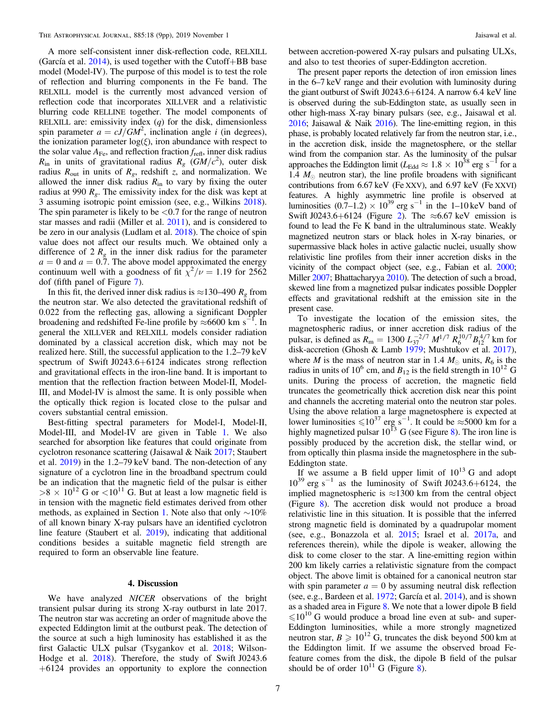<span id="page-6-0"></span>A more self-consistent inner disk-reflection code, RELXILL (García et al.  $2014$ ), is used together with the Cutoff+BB base model (Model-IV). The purpose of this model is to test the role of reflection and blurring components in the Fe band. The RELXILL model is the currently most advanced version of reflection code that incorporates XILLVER and a relativistic blurring code RELLINE together. The model components of RELXILL are: emissivity index  $(q)$  for the disk, dimensionless spin parameter  $a = cJ/GM^2$ , inclination angle *i* (in degrees), the ionization parameter  $log(\xi)$ , iron abundance with respect to the solar value  $A_{\text{Fe}}$ , and reflection fraction  $f_{\text{refl}}$ , inner disk radius  $R_{\text{in}}$  in units of gravitational radius  $R_{g}$  (GM/ $c^{2}$ ), outer disk radius  $R_{\text{out}}$  in units of  $R_g$ , redshift z, and normalization. We allowed the inner disk radius  $R_{\text{in}}$  to vary by fixing the outer radius at 990  $R_g$ . The emissivity index for the disk was kept at 3 assuming isotropic point emission (see, e.g., Wilkins [2018](#page-8-0)). The spin parameter is likely to be  $\langle 0.7 \rangle$  for the range of neutron star masses and radii (Miller et al. [2011](#page-8-0)), and is considered to be zero in our analysis (Ludlam et al. [2018](#page-8-0)). The choice of spin value does not affect our results much. We obtained only a difference of 2  $R<sub>g</sub>$  in the inner disk radius for the parameter  $a = 0$  and  $a = 0.7$ . The above model approximated the energy continuum well with a goodness of fit  $\chi^2/\nu = 1.19$  for 2562 dof (fifth panel of Figure [7](#page-4-0)).

In this fit, the derived inner disk radius is  $\approx$ 130–490  $R_o$  from the neutron star. We also detected the gravitational redshift of 0.022 from the reflecting gas, allowing a significant Doppler broadening and redshifted Fe-line profile by  $\approx$ 6600 km s<sup>-1</sup>. In general the XILLVER and RELXILL models consider radiation dominated by a classical accretion disk, which may not be realized here. Still, the successful application to the 1.2–79 keV spectrum of Swift J0243.6+6124 indicates strong reflection and gravitational effects in the iron-line band. It is important to mention that the reflection fraction between Model-II, Model-III, and Model-IV is almost the same. It is only possible when the optically thick region is located close to the pulsar and covers substantial central emission.

Best-fitting spectral parameters for Model-I, Model-II, Model-III, and Model-IV are given in Table [1.](#page-5-0) We also searched for absorption like features that could originate from cyclotron resonance scattering (Jaisawal & Naik [2017](#page-8-0); Staubert et al. [2019](#page-8-0)) in the 1.2–79 keV band. The non-detection of any signature of a cyclotron line in the broadband spectrum could be an indication that the magnetic field of the pulsar is either  $>8 \times 10^{12}$  G or  $< 10^{11}$  G. But at least a low magnetic field is in tension with the magnetic field estimates derived from other methods, as explained in Section [1](#page-0-0). Note also that only  $\sim$ 10% of all known binary X-ray pulsars have an identified cyclotron line feature (Staubert et al. [2019](#page-8-0)), indicating that additional conditions besides a suitable magnetic field strength are required to form an observable line feature.

## 4. Discussion

We have analyzed NICER observations of the bright transient pulsar during its strong X-ray outburst in late 2017. The neutron star was accreting an order of magnitude above the expected Eddington limit at the outburst peak. The detection of the source at such a high luminosity has established it as the first Galactic ULX pulsar (Tsygankov et al. [2018](#page-8-0); Wilson-Hodge et al. [2018](#page-8-0)). Therefore, the study of Swift J0243.6 +6124 provides an opportunity to explore the connection

between accretion-powered X-ray pulsars and pulsating ULXs, and also to test theories of super-Eddington accretion.

The present paper reports the detection of iron emission lines in the 6–7 keV range and their evolution with luminosity during the giant outburst of Swift J0243.6+6124. A narrow 6.4 keV line is observed during the sub-Eddington state, as usually seen in other high-mass X-ray binary pulsars (see, e.g., Jaisawal et al. [2016](#page-8-0); Jaisawal & Naik [2016](#page-8-0)). The line-emitting region, in this phase, is probably located relatively far from the neutron star, i.e., in the accretion disk, inside the magnetosphere, or the stellar wind from the companion star. As the luminosity of the pulsar approaches the Eddington limit ( $L_{\text{Edd}} \approx 1.8 \times 10^{38}$  erg s<sup>-1</sup> for a 1.4  $M_{\odot}$  neutron star), the line profile broadens with significant contributions from 6.67 keV (Fe XXV), and 6.97 keV (Fe XXVI) features. A highly asymmetric line profile is observed at luminosities  $(0.7-1.2) \times 10^{39}$  erg s<sup>-1</sup> in the 1-10 keV band of Swift J0[2](#page-2-0)43.6+6124 (Figure 2). The  $\approx 6.67$  keV emission is found to lead the Fe K band in the ultraluminous state. Weakly magnetized neutron stars or black holes in X-ray binaries, or supermassive black holes in active galactic nuclei, usually show relativistic line profiles from their inner accretion disks in the vicinity of the compact object (see, e.g., Fabian et al. [2000](#page-8-0); Miller [2007](#page-8-0); Bhattacharyya [2010](#page-8-0)). The detection of such a broad, skewed line from a magnetized pulsar indicates possible Doppler effects and gravitational redshift at the emission site in the present case.

To investigate the location of the emission sites, the magnetospheric radius, or inner accretion disk radius of the pulsar, is defined as  $R_{\rm m} = 1300 L_{37}^{-2/7} M^{1/7} R_6^{10/7} B_{12}^{4/7}$  km for disk-accretion (Ghosh & Lamb [1979](#page-8-0); Mushtukov et al. [2017](#page-8-0)), where *M* is the mass of neutron star in 1.4  $M_{\odot}$  units,  $R_6$  is the radius in units of 10<sup>6</sup> cm, and  $B_{12}$  is the field strength in 10<sup>12</sup> G units. During the process of accretion, the magnetic field truncates the geometrically thick accretion disk near this point and channels the accreting material onto the neutron star poles. Using the above relation a large magnetosphere is expected at lower luminosities  $\leq 10^{37}$  erg s<sup>-1</sup>. It could be  $\approx 5000$  km for a highly magnetized pulsar  $10^{13}$  G (see Figure [8](#page-7-0)). The iron line is possibly produced by the accretion disk, the stellar wind, or from optically thin plasma inside the magnetosphere in the sub-Eddington state.

If we assume a B field upper limit of  $10^{13}$  G and adopt  $10^{39}$  erg s<sup>-1</sup> as the luminosity of Swift J0243.6+6124, the implied magnetospheric is  $\approx$ 1300 km from the central object (Figure [8](#page-7-0)). The accretion disk would not produce a broad relativistic line in this situation. It is possible that the inferred strong magnetic field is dominated by a quadrupolar moment (see, e.g., Bonazzola et al. [2015](#page-8-0); Israel et al. [2017a,](#page-8-0) and references therein), while the dipole is weaker, allowing the disk to come closer to the star. A line-emitting region within 200 km likely carries a relativistic signature from the compact object. The above limit is obtained for a canonical neutron star with spin parameter  $a = 0$  by assuming neutral disk reflection (see, e.g., Bardeen et al. [1972](#page-8-0); García et al. [2014](#page-8-0)), and is shown as a shaded area in Figure [8.](#page-7-0) We note that a lower dipole B field  $\leq 10^{10}$  G would produce a broad line even at sub- and super-Eddington luminosities, while a more strongly magnetized neutron star,  $B \ge 10^{12}$  G, truncates the disk beyond 500 km at the Eddington limit. If we assume the observed broad Fefeature comes from the disk, the dipole B field of the pulsar should be of order  $10^{11}$  G (Figure [8](#page-7-0)).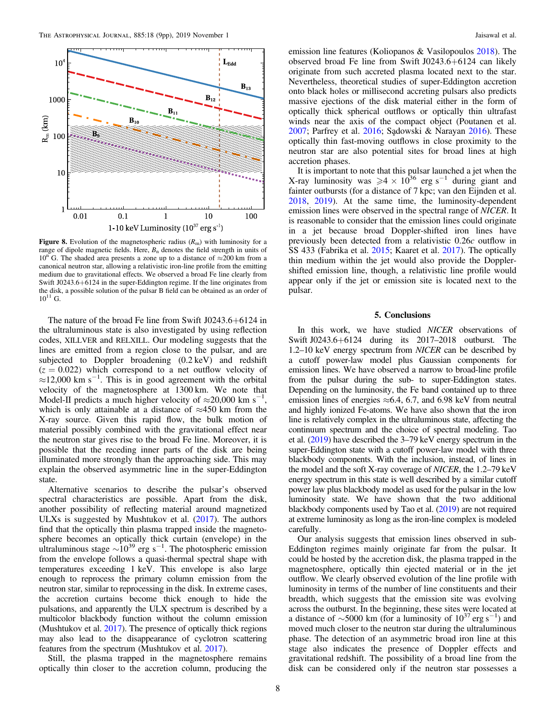<span id="page-7-0"></span>

Figure 8. Evolution of the magnetospheric radius  $(R<sub>m</sub>)$  with luminosity for a range of dipole magnetic fields. Here,  $B_n$  denotes the field strength in units of  $10^{n}$  G. The shaded area presents a zone up to a distance of  $\approx$  200 km from a canonical neutron star, allowing a relativistic iron-line profile from the emitting medium due to gravitational effects. We observed a broad Fe line clearly from Swift J0243.6+6124 in the super-Eddington regime. If the line originates from the disk, a possible solution of the pulsar B field can be obtained as an order of  $10^{11}$  G.

The nature of the broad Fe line from Swift J0243.6+6124 in the ultraluminous state is also investigated by using reflection codes, XILLVER and RELXILL. Our modeling suggests that the lines are emitted from a region close to the pulsar, and are subjected to Doppler broadening (0.2 keV) and redshift  $(z = 0.022)$  which correspond to a net outflow velocity of  $\approx$ 12,000 km s<sup>-1</sup>. This is in good agreement with the orbital velocity of the magnetosphere at 1300 km. We note that Model-II predicts a much higher velocity of  $\approx$ 20,000 km s<sup>-1</sup>, which is only attainable at a distance of  $\approx$ 450 km from the X-ray source. Given this rapid flow, the bulk motion of material possibly combined with the gravitational effect near the neutron star gives rise to the broad Fe line. Moreover, it is possible that the receding inner parts of the disk are being illuminated more strongly than the approaching side. This may explain the observed asymmetric line in the super-Eddington state.

Alternative scenarios to describe the pulsar's observed spectral characteristics are possible. Apart from the disk, another possibility of reflecting material around magnetized ULXs is suggested by Mushtukov et al. ([2017](#page-8-0)). The authors find that the optically thin plasma trapped inside the magnetosphere becomes an optically thick curtain (envelope) in the ultraluminous stage  $\sim 10^{39}$  erg s<sup>-1</sup>. The photospheric emission from the envelope follows a quasi-thermal spectral shape with temperatures exceeding 1 keV. This envelope is also large enough to reprocess the primary column emission from the neutron star, similar to reprocessing in the disk. In extreme cases, the accretion curtains become thick enough to hide the pulsations, and apparently the ULX spectrum is described by a multicolor blackbody function without the column emission (Mushtukov et al. [2017](#page-8-0)). The presence of optically thick regions may also lead to the disappearance of cyclotron scattering features from the spectrum (Mushtukov et al. [2017](#page-8-0)).

Still, the plasma trapped in the magnetosphere remains optically thin closer to the accretion column, producing the

emission line features (Koliopanos & Vasilopoulos [2018](#page-8-0)). The observed broad Fe line from Swift J0243.6+6124 can likely originate from such accreted plasma located next to the star. Nevertheless, theoretical studies of super-Eddington accretion onto black holes or millisecond accreting pulsars also predicts massive ejections of the disk material either in the form of optically thick spherical outflows or optically thin ultrafast winds near the axis of the compact object (Poutanen et al.  $2007$ ; Parfrey et al.  $2016$ ; Sadowski & Narayan  $2016$ ). These optically thin fast-moving outflows in close proximity to the neutron star are also potential sites for broad lines at high accretion phases.

It is important to note that this pulsar launched a jet when the X-ray luminosity was  $\ge 4 \times 10^{36}$  erg s<sup>-1</sup> during giant and fainter outbursts (for a distance of 7 kpc; van den Eijnden et al. [2018,](#page-8-0) [2019](#page-8-0)). At the same time, the luminosity-dependent emission lines were observed in the spectral range of NICER. It is reasonable to consider that the emission lines could originate in a jet because broad Doppler-shifted iron lines have previously been detected from a relativistic 0.26c outflow in SS 433 (Fabrika et al. [2015](#page-8-0); Kaaret et al. [2017](#page-8-0)). The optically thin medium within the jet would also provide the Dopplershifted emission line, though, a relativistic line profile would appear only if the jet or emission site is located next to the pulsar.

### 5. Conclusions

In this work, we have studied NICER observations of Swift J0243.6+6124 during its 2017–2018 outburst. The 1.2–10 keV energy spectrum from NICER can be described by a cutoff power-law model plus Gaussian components for emission lines. We have observed a narrow to broad-line profile from the pulsar during the sub- to super-Eddington states. Depending on the luminosity, the Fe band contained up to three emission lines of energies  $\approx 6.4$ , 6.7, and 6.98 keV from neutral and highly ionized Fe-atoms. We have also shown that the iron line is relatively complex in the ultraluminous state, affecting the continuum spectrum and the choice of spectral modeling. Tao et al. ([2019](#page-8-0)) have described the 3–79 keV energy spectrum in the super-Eddington state with a cutoff power-law model with three blackbody components. With the inclusion, instead, of lines in the model and the soft X-ray coverage of NICER, the 1.2–79 keV energy spectrum in this state is well described by a similar cutoff power law plus blackbody model as used for the pulsar in the low luminosity state. We have shown that the two additional blackbody components used by Tao et al. ([2019](#page-8-0)) are not required at extreme luminosity as long as the iron-line complex is modeled carefully.

Our analysis suggests that emission lines observed in sub-Eddington regimes mainly originate far from the pulsar. It could be hosted by the accretion disk, the plasma trapped in the magnetosphere, optically thin ejected material or in the jet outflow. We clearly observed evolution of the line profile with luminosity in terms of the number of line constituents and their breadth, which suggests that the emission site was evolving across the outburst. In the beginning, these sites were located at a distance of  $\sim$ 5000 km (for a luminosity of  $10^{37}$  erg s<sup>-1</sup>) and moved much closer to the neutron star during the ultraluminous phase. The detection of an asymmetric broad iron line at this stage also indicates the presence of Doppler effects and gravitational redshift. The possibility of a broad line from the disk can be considered only if the neutron star possesses a